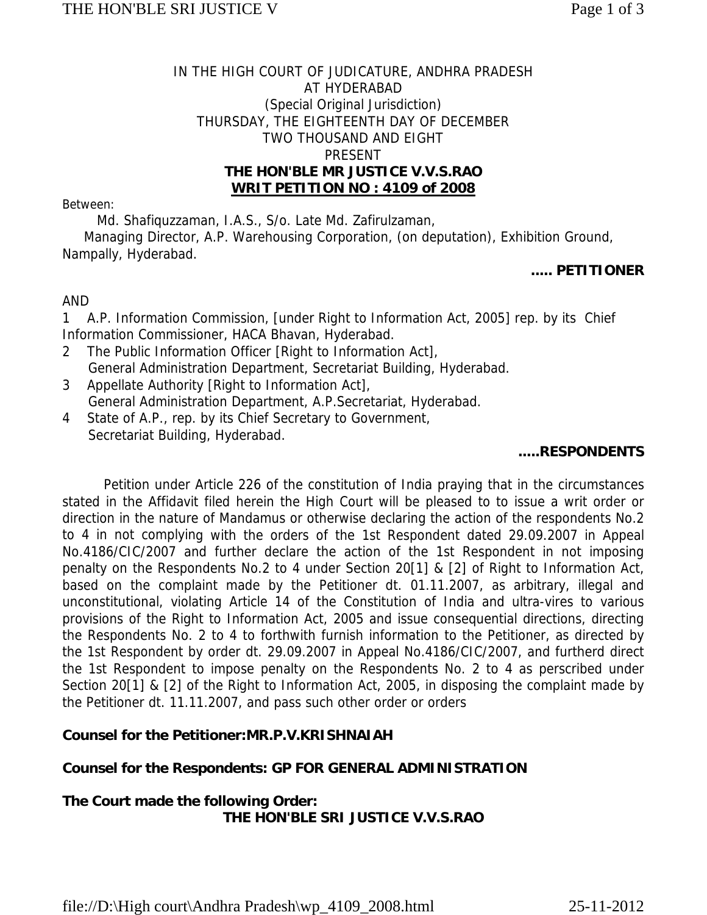# IN THE HIGH COURT OF JUDICATURE, ANDHRA PRADESH AT HYDERABAD (Special Original Jurisdiction) THURSDAY, THE EIGHTEENTH DAY OF DECEMBER TWO THOUSAND AND EIGHT PRESENT **THE HON'BLE MR JUSTICE V.V.S.RAO WRIT PETITION NO : 4109 of 2008**

#### Between:

Md. Shafiquzzaman, I.A.S., S/o. Late Md. Zafirulzaman,

 Managing Director, A.P. Warehousing Corporation, (on deputation), Exhibition Ground, Nampally, Hyderabad.

#### **..... PETITIONER**

## AND

1 A.P. Information Commission, [under Right to Information Act, 2005] rep. by its Chief Information Commissioner, HACA Bhavan, Hyderabad.

- 2 The Public Information Officer [Right to Information Act], General Administration Department, Secretariat Building, Hyderabad.
- 3 Appellate Authority [Right to Information Act], General Administration Department, A.P.Secretariat, Hyderabad.
- 4 State of A.P., rep. by its Chief Secretary to Government, Secretariat Building, Hyderabad.

## **.....RESPONDENTS**

Petition under Article 226 of the constitution of India praying that in the circumstances stated in the Affidavit filed herein the High Court will be pleased to to issue a writ order or direction in the nature of Mandamus or otherwise declaring the action of the respondents No.2 to 4 in not complying with the orders of the 1st Respondent dated 29.09.2007 in Appeal No.4186/CIC/2007 and further declare the action of the 1st Respondent in not imposing penalty on the Respondents No.2 to 4 under Section 20[1] & [2] of Right to Information Act, based on the complaint made by the Petitioner dt. 01.11.2007, as arbitrary, illegal and unconstitutional, violating Article 14 of the Constitution of India and ultra-vires to various provisions of the Right to Information Act, 2005 and issue consequential directions, directing the Respondents No. 2 to 4 to forthwith furnish information to the Petitioner, as directed by the 1st Respondent by order dt. 29.09.2007 in Appeal No.4186/CIC/2007, and furtherd direct the 1st Respondent to impose penalty on the Respondents No. 2 to 4 as perscribed under Section 20[1] & [2] of the Right to Information Act, 2005, in disposing the complaint made by the Petitioner dt. 11.11.2007, and pass such other order or orders

## **Counsel for the Petitioner:MR.P.V.KRISHNAIAH**

## **Counsel for the Respondents: GP FOR GENERAL ADMINISTRATION**

## **The Court made the following Order: THE HON'BLE SRI JUSTICE V.V.S.RAO**

file://D:\High court\Andhra Pradesh\wp\_4109\_2008.html 25-11-2012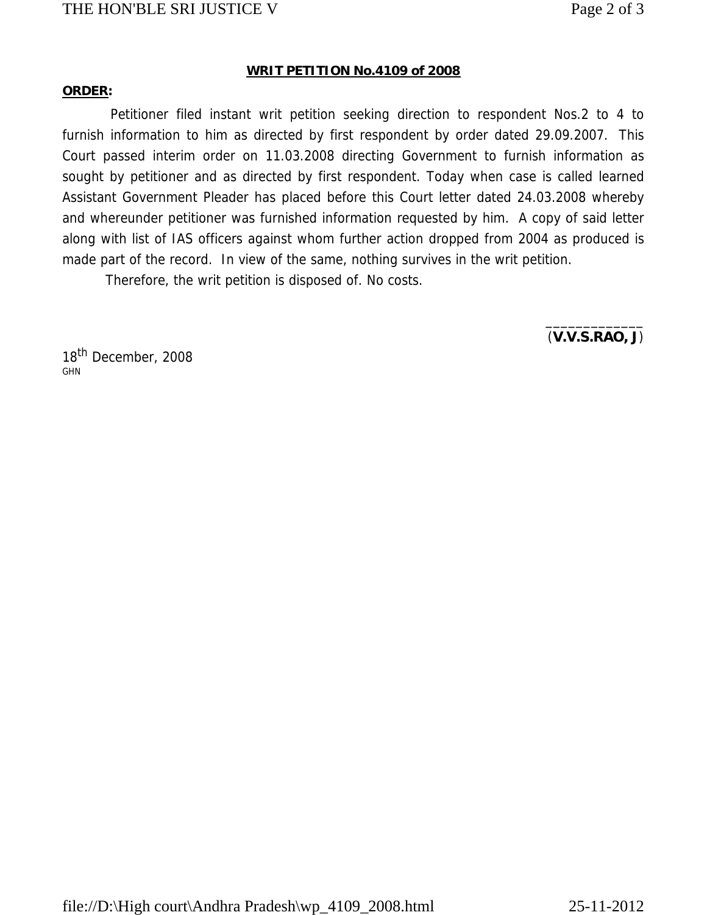# THE HON'BLE SRI JUSTICE V Page 2 of 3

#### **WRIT PETITION No.4109 of 2008**

#### **ORDER:**

Petitioner filed instant writ petition seeking direction to respondent Nos.2 to 4 to furnish information to him as directed by first respondent by order dated 29.09.2007. This Court passed interim order on 11.03.2008 directing Government to furnish information as sought by petitioner and as directed by first respondent. Today when case is called learned Assistant Government Pleader has placed before this Court letter dated 24.03.2008 whereby and whereunder petitioner was furnished information requested by him. A copy of said letter along with list of IAS officers against whom further action dropped from 2004 as produced is made part of the record. In view of the same, nothing survives in the writ petition.

Therefore, the writ petition is disposed of. No costs.

(**V.V.S.RAO, J**)

 $\overline{\phantom{a}}$  , and the contract of the contract of the contract of the contract of the contract of the contract of the contract of the contract of the contract of the contract of the contract of the contract of the contrac

18<sup>th</sup> December, 2008 GHN